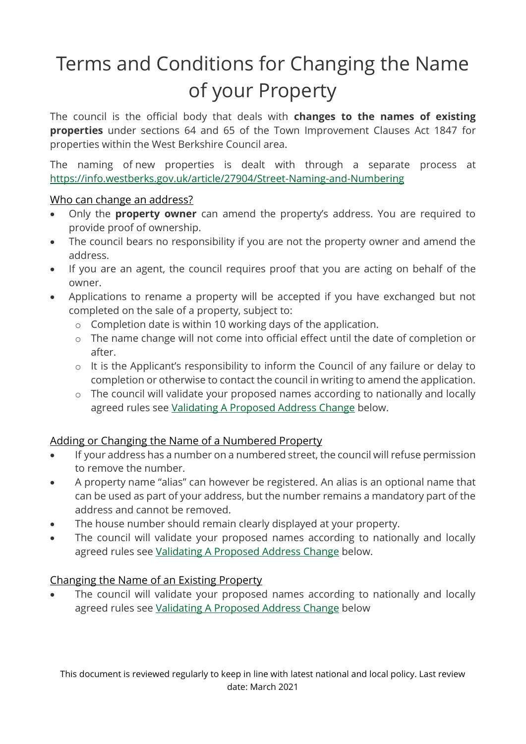# Terms and Conditions for Changing the Name of your Property

The council is the official body that deals with **changes to the names of existing properties** under sections 64 and 65 of the Town Improvement Clauses Act 1847 for properties within the West Berkshire Council area.

The naming of new properties is dealt with through a separate process at <https://info.westberks.gov.uk/article/27904/Street-Naming-and-Numbering>

#### Who can change an address?

- Only the **property owner** can amend the property's address. You are required to provide proof of ownership.
- The council bears no responsibility if you are not the property owner and amend the address.
- If you are an agent, the council requires proof that you are acting on behalf of the owner.
- Applications to rename a property will be accepted if you have exchanged but not completed on the sale of a property, subject to:
	- o Completion date is within 10 working days of the application.
	- o The name change will not come into official effect until the date of completion or after.
	- o It is the Applicant's responsibility to inform the Council of any failure or delay to completion or otherwise to contact the council in writing to amend the application.
	- o The council will validate your proposed names according to nationally and locally agreed rules see [Validating A Proposed Address Change](#page-1-0) below.

# Adding or Changing the Name of a Numbered Property

- If your address has a number on a numbered street, the council will refuse permission to remove the number.
- A property name "alias" can however be registered. An alias is an optional name that can be used as part of your address, but the number remains a mandatory part of the address and cannot be removed.
- The house number should remain clearly displayed at your property.
- The council will validate your proposed names according to nationally and locally agreed rules see [Validating A Proposed Address Change](#page-1-0) below.

# Changing the Name of an Existing Property

 The council will validate your proposed names according to nationally and locally agreed rules see [Validating A Proposed Address Change](#page-1-0) below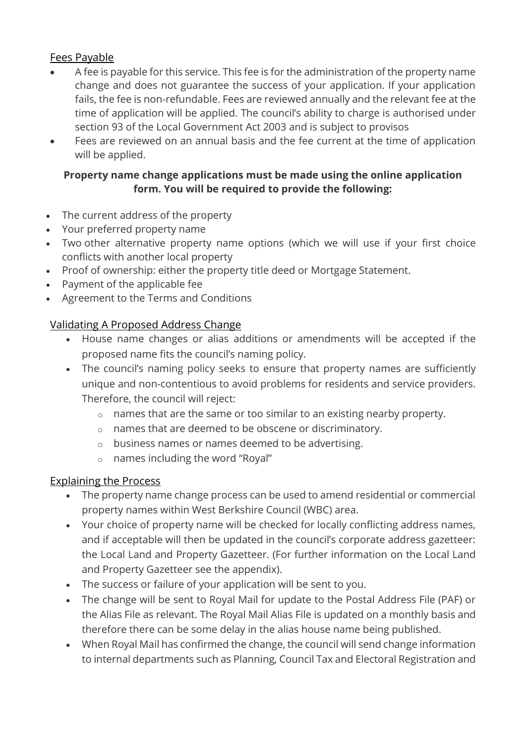### Fees Payable

- A fee is payable for this service. This fee is for the administration of the property name change and does not guarantee the success of your application. If your application fails, the fee is non-refundable. Fees are reviewed annually and the relevant fee at the time of application will be applied. The council's ability to charge is authorised under section 93 of the Local Government Act 2003 and is subject to provisos
- Fees are reviewed on an annual basis and the fee current at the time of application will be applied.

### **Property name change applications must be made using the online application form. You will be required to provide the following:**

- The current address of the property
- Your preferred property name
- Two other alternative property name options (which we will use if your first choice conflicts with another local property
- Proof of ownership: either the property title deed or Mortgage Statement.
- Payment of the applicable fee
- Agreement to the Terms and Conditions

# <span id="page-1-0"></span>Validating A Proposed Address Change

- House name changes or alias additions or amendments will be accepted if the proposed name fits the council's naming policy.
- The council's naming policy seeks to ensure that property names are sufficiently unique and non-contentious to avoid problems for residents and service providers. Therefore, the council will reject:
	- o names that are the same or too similar to an existing nearby property.
	- o names that are deemed to be obscene or discriminatory.
	- o business names or names deemed to be advertising.
	- o names including the word "Royal"

#### Explaining the Process

- The property name change process can be used to amend residential or commercial property names within West Berkshire Council (WBC) area.
- Your choice of property name will be checked for locally conflicting address names, and if acceptable will then be updated in the council's corporate address gazetteer: the Local Land and Property Gazetteer. (For further information on the Local Land and Property Gazetteer see the appendix).
- The success or failure of your application will be sent to you.
- The change will be sent to Royal Mail for update to the Postal Address File (PAF) or the Alias File as relevant. The Royal Mail Alias File is updated on a monthly basis and therefore there can be some delay in the alias house name being published.
- When Royal Mail has confirmed the change, the council will send change information to internal departments such as Planning, Council Tax and Electoral Registration and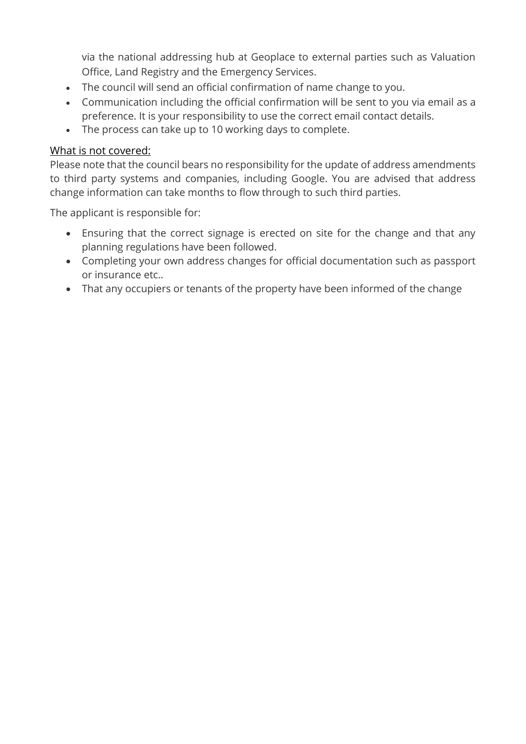via the national addressing hub at Geoplace to external parties such as Valuation Office, Land Registry and the Emergency Services.

- The council will send an official confirmation of name change to you.
- Communication including the official confirmation will be sent to you via email as a preference. It is your responsibility to use the correct email contact details.
- The process can take up to 10 working days to complete.

#### What is not covered:

Please note that the council bears no responsibility for the update of address amendments to third party systems and companies, including Google. You are advised that address change information can take months to flow through to such third parties.

The applicant is responsible for:

- Ensuring that the correct signage is erected on site for the change and that any planning regulations have been followed.
- Completing your own address changes for official documentation such as passport or insurance etc..
- That any occupiers or tenants of the property have been informed of the change